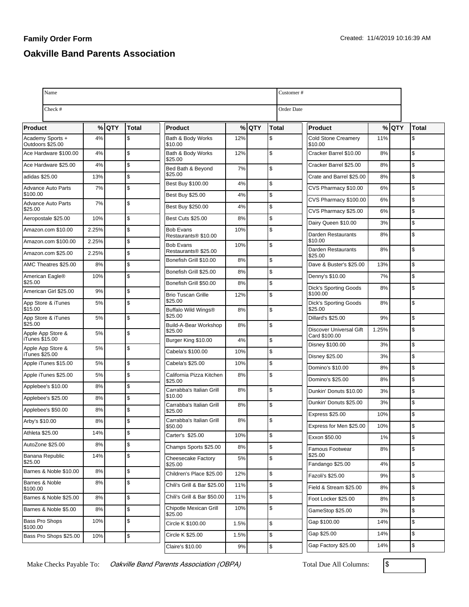## **Family Order Form Oakville Band Parents Association**

| Name                                  | Customer# |      |               |                                                            |      |       |               |                                          |       |       |              |
|---------------------------------------|-----------|------|---------------|------------------------------------------------------------|------|-------|---------------|------------------------------------------|-------|-------|--------------|
| Check #                               |           |      |               |                                                            |      |       |               | <b>Order Date</b>                        |       |       |              |
| Product                               | %         | lQTY | Total         | <b>Product</b>                                             |      | %lQTY | <b>Total</b>  | <b>Product</b>                           |       | % QTY | <b>Total</b> |
| Academy Sports +<br>Outdoors \$25.00  | 4%        |      | \$            | Bath & Body Works<br>\$10.00                               | 12%  |       | \$            | <b>Cold Stone Creamery</b><br>\$10.00    | 11%   |       | \$           |
| Ace Hardware \$100.00                 | 4%        |      | $\mathfrak s$ | Bath & Body Works                                          | 12%  |       | $\mathsf{\$}$ | Cracker Barrel \$10.00                   | 8%    |       | \$           |
| Ace Hardware \$25.00                  | 4%        |      | \$            | \$25.00<br>Bed Bath & Beyond                               | 7%   |       | $\mathsf{\$}$ | Cracker Barrel \$25.00                   | 8%    |       | \$           |
| adidas \$25.00                        | 13%       |      | \$            | \$25.00                                                    |      |       |               | Crate and Barrel \$25.00                 | 8%    |       | \$           |
| Advance Auto Parts                    | 7%        |      | $\mathsf{\$}$ | Best Buy \$100.00                                          | 4%   |       | \$            | CVS Pharmacy \$10.00                     | 6%    |       | \$           |
| \$100.00<br><b>Advance Auto Parts</b> | 7%        |      | $\mathfrak s$ | Best Buy \$25.00                                           | 4%   |       | $\mathsf{\$}$ | CVS Pharmacy \$100.00                    | 6%    |       | \$           |
| \$25.00                               |           |      |               | Best Buy \$250.00                                          | 4%   |       | \$            | CVS Pharmacy \$25.00                     | 6%    |       | \$           |
| Aeropostale \$25.00                   | 10%       |      | $\mathfrak s$ | <b>Best Cuts \$25.00</b>                                   | 8%   |       | $\mathsf{\$}$ | Dairy Queen \$10.00                      | 3%    |       | \$           |
| Amazon.com \$10.00                    | 2.25%     |      | $\mathfrak s$ | <b>Bob Evans</b><br>Restaurants® \$10.00                   | 10%  |       | \$            | Darden Restaurants                       | 8%    |       | \$           |
| Amazon.com \$100.00                   | 2.25%     |      | $\mathfrak s$ | <b>Bob Evans</b>                                           | 10%  |       | $\mathsf{\$}$ | \$10.00<br>Darden Restaurants            | 8%    |       | \$           |
| Amazon.com \$25.00                    | 2.25%     |      | $\mathsf{\$}$ | Restaurants <sup>®</sup> \$25.00<br>Bonefish Grill \$10.00 | 8%   |       | $\mathsf{\$}$ | \$25.00                                  |       |       |              |
| AMC Theatres \$25.00                  | 8%        |      | $\mathsf{\$}$ | Bonefish Grill \$25.00                                     | 8%   |       | $\mathsf{\$}$ | Dave & Buster's \$25.00                  | 13%   |       | \$           |
| American Eagle®<br>\$25.00            | 10%       |      | S.            | Bonefish Grill \$50.00                                     | 8%   |       | $\mathsf{\$}$ | Denny's \$10.00                          | 7%    |       | \$           |
| American Girl \$25.00                 | 9%        |      | $\mathfrak s$ | <b>Brio Tuscan Grille</b>                                  | 12%  |       | $\mathsf{\$}$ | <b>Dick's Sporting Goods</b><br>\$100.00 | 8%    |       | \$           |
| App Store & iTunes<br>\$15.00         | 5%        |      | $\mathfrak s$ | \$25.00<br>Buffalo Wild Wings®                             | 8%   |       | $\mathsf{\$}$ | Dick's Sporting Goods<br>\$25.00         | 8%    |       | \$           |
| App Store & iTunes                    | 5%        |      | $\mathsf{\$}$ | \$25.00                                                    |      |       |               | <b>Dillard's \$25.00</b>                 | 9%    |       | \$           |
| \$25.00<br>Apple App Store &          | 5%        |      | $\mathfrak s$ | Build-A-Bear Workshop<br>\$25.00                           | 8%   |       | $\mathsf{\$}$ | Discover Universal Gift<br>Card \$100.00 | 1.25% |       | \$           |
| iTunes \$15.00<br>Apple App Store &   | 5%        |      | $\mathfrak s$ | Burger King \$10.00                                        | 4%   |       | \$            | Disney \$100.00                          | 3%    |       | \$           |
| iTunes \$25.00                        |           |      |               | Cabela's \$100.00                                          | 10%  |       | $\mathsf{\$}$ | <b>Disney \$25.00</b>                    | 3%    |       | \$           |
| Apple iTunes \$15.00                  | 5%        |      | $\mathfrak s$ | Cabela's \$25.00                                           | 10%  |       | \$            | Domino's \$10.00                         | 8%    |       | \$           |
| Apple iTunes \$25.00                  | 5%        |      | $\mathsf{\$}$ | California Pizza Kitchen<br>\$25.00                        | 8%   |       | \$            | Domino's \$25.00                         | 8%    |       | \$           |
| Applebee's \$10.00                    | 8%        |      | $\mathfrak s$ | Carrabba's Italian Grill                                   | 8%   |       | \$            | Dunkin' Donuts \$10.00                   | 3%    |       | \$           |
| Applebee's \$25.00                    | 8%        |      | $\mathsf{\$}$ | \$10.00<br>Carrabba's Italian Grill                        | 8%   |       | \$            | Dunkin' Donuts \$25.00                   | 3%    |       | \$           |
| Applebee's \$50.00                    | 8%        |      | $\mathsf{\$}$ | \$25.00                                                    |      |       |               | <b>Express \$25.00</b>                   | 10%   |       | \$           |
| Arby's \$10.00                        | 8%        |      | $\mathfrak s$ | Carrabba's Italian Grill<br>\$50.00                        | 8%   |       | $\mathsf{\$}$ | Express for Men \$25.00                  | 10%   |       | \$           |
| Athleta \$25.00                       | 14%       |      | \$            | Carter's \$25.00                                           | 10%  |       | \$            | Exxon \$50.00                            | 1%    |       | \$           |
| AutoZone \$25.00                      | 8%        |      | $\mathsf{\$}$ | Champs Sports \$25.00                                      | 8%   |       | \$            | Famous Footwear                          | 8%    |       | \$           |
| Banana Republic<br>\$25.00            | 14%       |      | \$            | Cheesecake Factory<br>\$25.00                              | 5%   |       | \$            | \$25.00<br>Fandango \$25.00              | 4%    |       | \$           |
| Barnes & Noble \$10.00                | 8%        |      | $\mathfrak s$ | Children's Place \$25.00                                   | 12%  |       | \$            | Fazoli's \$25.00                         | 9%    |       | \$           |
| Barnes & Noble<br>\$100.00            | 8%        |      | $\mathfrak s$ | Chili's Grill & Bar \$25.00                                | 11%  |       | \$            | Field & Stream \$25.00                   | 8%    |       | \$           |
| Barnes & Noble \$25.00                | 8%        |      | $\mathfrak s$ | Chili's Grill & Bar \$50.00                                | 11%  |       | \$            | Foot Locker \$25.00                      | 8%    |       | \$           |
| Barnes & Noble \$5.00                 | 8%        |      | $\mathsf{\$}$ | Chipotle Mexican Grill<br>\$25.00                          | 10%  |       | \$            | GameStop \$25.00                         | 3%    |       | \$           |
| Bass Pro Shops<br>\$100.00            | 10%       |      | $\mathfrak s$ | Circle K \$100.00                                          | 1.5% |       | \$            | Gap \$100.00                             | 14%   |       | \$           |
| Bass Pro Shops \$25.00                | 10%       |      | \$            | Circle K \$25.00                                           | 1.5% |       | \$            | Gap \$25.00                              | 14%   |       | \$           |
|                                       |           |      |               | Claire's \$10.00                                           | 9%   |       | \$            | Gap Factory \$25.00                      | 14%   |       | \$           |

Make Checks Payable To: Oakville Band Parents Association (OBPA) Total Due All Columns: \$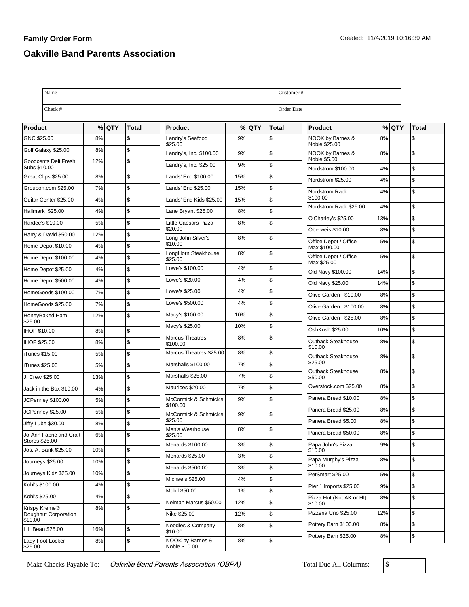## **Family Order Form Oakville Band Parents Association**

| Name                                      | Customer#  |         |               |                                    |     |         |              |                                       |     |            |                |
|-------------------------------------------|------------|---------|---------------|------------------------------------|-----|---------|--------------|---------------------------------------|-----|------------|----------------|
| Check #                                   | Order Date |         |               |                                    |     |         |              |                                       |     |            |                |
| <b>Product</b>                            |            | $%$ QTY | <b>Total</b>  | <b>Product</b>                     |     | $%$ QTY | <b>Total</b> | Product                               | %   | <b>QTY</b> | <b>Total</b>   |
| GNC \$25.00                               | 8%         |         | $\mathsf{\$}$ | Landry's Seafood                   | 9%  |         | \$           | NOOK by Barnes &                      | 8%  |            | \$             |
| Golf Galaxy \$25.00                       | 8%         |         | $\sqrt{2}$    | \$25.00<br>Landry's, Inc. \$100.00 | 9%  |         | \$           | Noble \$25.00<br>NOOK by Barnes &     | 8%  |            | \$             |
| Goodcents Deli Fresh<br>Subs \$10.00      | 12%        |         | $\mathsf{\$}$ | Landry's, Inc. \$25.00             | 9%  |         | \$           | Noble \$5.00                          |     |            |                |
| Great Clips \$25.00                       | 8%         |         | $\mathsf{\$}$ | Lands' End \$100.00                | 15% |         | \$           | Nordstrom \$100.00                    | 4%  |            | \$<br>\$       |
| Groupon.com \$25.00                       | 7%         |         | $\mathsf{\$}$ | Lands' End \$25.00                 | 15% |         | \$           | Nordstrom \$25.00<br>Nordstrom Rack   | 4%  |            | \$             |
| Guitar Center \$25.00                     | 4%         |         | $\mathsf{\$}$ | Lands' End Kids \$25.00            | 15% |         | \$           | \$100.00                              | 4%  |            |                |
| Hallmark \$25.00                          | 4%         |         | \$            | Lane Bryant \$25.00                | 8%  |         | \$           | Nordstrom Rack \$25.00                | 4%  |            | \$             |
| Hardee's \$10.00                          | 5%         |         | \$            | Little Caesars Pizza               | 8%  |         | \$           | O'Charley's \$25.00                   | 13% |            | S.             |
| Harry & David \$50.00                     | 12%        |         | $\sqrt{2}$    | \$20.00                            |     |         |              | Oberweis \$10.00                      | 8%  |            | \$             |
| Home Depot \$10.00                        | 4%         |         | $\sqrt{3}$    | Long John Silver's<br>\$10.00      | 8%  |         | \$           | Office Depot / Office<br>Max \$100.00 | 5%  |            | \$             |
| Home Depot \$100.00                       | 4%         |         | $\sqrt{2}$    | LongHorn Steakhouse<br>\$25.00     | 8%  |         | \$           | Office Depot / Office<br>Max \$25.00  | 5%  |            | \$             |
| Home Depot \$25.00                        | 4%         |         | $\sqrt{3}$    | Lowe's \$100.00                    | 4%  |         | \$           | Old Navy \$100.00                     | 14% |            | \$             |
| Home Depot \$500.00                       | 4%         |         | $\sqrt{2}$    | Lowe's \$20.00                     | 4%  |         | \$           | Old Navy \$25.00                      | 14% |            | $\mathsf{\$}$  |
| HomeGoods \$100.00                        | 7%         |         | $\mathsf{\$}$ | Lowe's \$25.00                     | 4%  |         | \$           | Olive Garden \$10.00                  | 8%  |            | \$             |
| HomeGoods \$25.00                         | 7%         |         | \$            | Lowe's \$500.00                    | 4%  |         | \$           | Olive Garden \$100.00                 | 8%  |            | \$             |
| HoneyBaked Ham                            | 12%        |         | $\mathsf{\$}$ | Macy's \$100.00                    | 10% |         | \$           | Olive Garden \$25.00                  | 8%  |            | \$             |
| \$25.00<br><b>IHOP \$10.00</b>            | 8%         |         | $\mathsf{\$}$ | Macy's \$25.00                     | 10% |         | \$           | OshKosh \$25.00                       | 10% |            | $\mathsf{\$}$  |
| IHOP \$25.00                              | 8%         |         | \$            | <b>Marcus Theatres</b><br>\$100.00 | 8%  |         | \$           | Outback Steakhouse                    | 8%  |            | \$             |
| iTunes \$15.00                            | 5%         |         | $\sqrt{3}$    | Marcus Theatres \$25.00            | 8%  |         | $\sqrt{2}$   | \$10.00<br>Outback Steakhouse         | 8%  |            | \$             |
| iTunes \$25.00                            | 5%         |         | $\mathsf{\$}$ | Marshalls \$100.00                 | 7%  |         | \$           | \$25.00                               |     |            |                |
| J. Crew \$25.00                           | 13%        |         | \$            | Marshalls \$25.00                  | 7%  |         | \$           | Outback Steakhouse<br>\$50.00         | 8%  |            | \$             |
| Jack in the Box \$10.00                   | 4%         |         | $\sqrt{3}$    | Maurices \$20.00                   | 7%  |         | \$           | Overstock.com \$25.00                 | 8%  |            | \$             |
| JCPenney \$100.00                         | 5%         |         | $\sqrt{2}$    | McCormick & Schmick's              | 9%  |         | \$           | Panera Bread \$10.00                  | 8%  |            | \$             |
| JCPenney \$25.00                          | 5%         |         | $\sqrt{3}$    | \$100.00<br>McCormick & Schmick's  | 9%  |         | \$           | Panera Bread \$25.00                  | 8%  |            | \$             |
| Jiffy Lube \$30.00                        | 8%         |         | $\mathsf{\$}$ | \$25.00                            |     |         |              | Panera Bread \$5.00                   | 8%  |            | \$             |
| Jo-Ann Fabric and Craft<br>Stores \$25.00 | 6%         |         | $\sqrt{3}$    | Men's Wearhouse<br>\$25.00         | 8%  |         | \$           | Panera Bread \$50.00                  | 8%  |            | Ι\$            |
| Jos. A. Bank \$25.00                      | 10%        |         | \$            | Menards \$100.00                   | 3%  |         | \$           | Papa John's Pizza<br>\$10.00          | 9%  |            | \$             |
| Journeys \$25.00                          | 10%        |         | $\sqrt{3}$    | Menards \$25.00                    | 3%  |         | \$           | Papa Murphy's Pizza                   | 8%  |            | \$             |
| Journeys Kidz \$25.00                     | 10%        |         | \$            | Menards \$500.00                   | 3%  |         | $\,$         | \$10.00<br>PetSmart \$25.00           | 5%  |            | \$             |
| Kohl's \$100.00                           | 4%         |         | $\sqrt{3}$    | Michaels \$25.00                   | 4%  |         | \$           | Pier 1 Imports \$25.00                | 9%  |            | \$             |
| Kohl's \$25.00                            | 4%         |         | \$            | Mobil \$50.00                      | 1%  |         | \$           | Pizza Hut (Not AK or HI)              | 8%  |            | \$             |
| Krispy Kreme®                             | 8%         |         | \$            | Neiman Marcus \$50.00              | 12% |         | \$           | \$10.00                               |     |            |                |
| Doughnut Corporation<br>\$10.00           |            |         |               | Nike \$25.00                       | 12% |         | \$           | Pizzeria Uno \$25.00                  | 12% |            | $\mathsf{\$}$  |
| L.L.Bean \$25.00                          | 16%        |         | $\sqrt{3}$    | Noodles & Company<br>\$10.00       | 8%  |         | \$           | Pottery Barn \$100.00                 | 8%  |            | \$             |
| Lady Foot Locker<br>\$25.00               | 8%         |         | $\sqrt{3}$    | NOOK by Barnes &<br>Noble \$10.00  | 8%  |         | \$           | Pottery Barn \$25.00                  | 8%  |            | $\mathfrak{s}$ |

Make Checks Payable To: Oakville Band Parents Association (OBPA) Total Due All Columns: